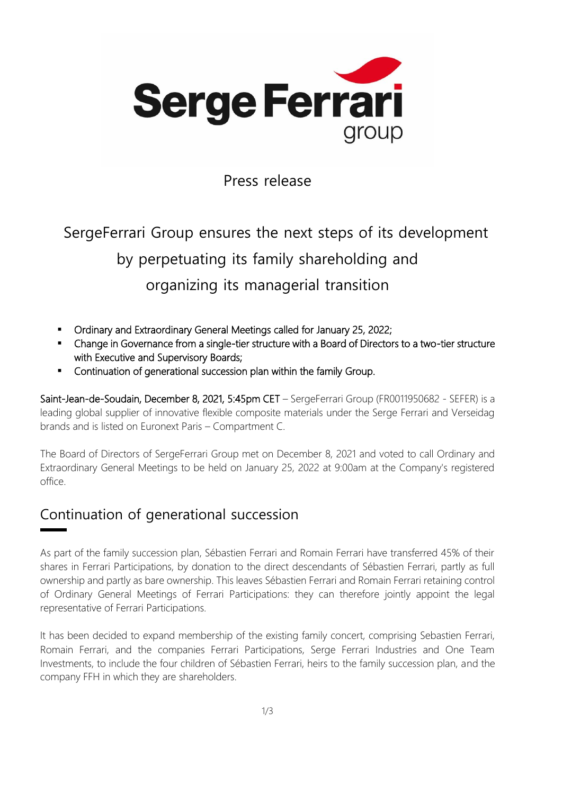

Press release

# SergeFerrari Group ensures the next steps of its development by perpetuating its family shareholding and organizing its managerial transition

- Ordinary and Extraordinary General Meetings called for January 25, 2022;
- Change in Governance from a single-tier structure with a Board of Directors to a two-tier structure with Executive and Supervisory Boards;
- Continuation of generational succession plan within the family Group.

Saint-Jean-de-Soudain, December 8, 2021, 5:45pm CET – SergeFerrari Group (FR0011950682 - SEFER) is a leading global supplier of innovative flexible composite materials under the Serge Ferrari and Verseidag brands and is listed on Euronext Paris – Compartment C.

The Board of Directors of SergeFerrari Group met on December 8, 2021 and voted to call Ordinary and Extraordinary General Meetings to be held on January 25, 2022 at 9:00am at the Company's registered office.

### Continuation of generational succession

As part of the family succession plan, Sébastien Ferrari and Romain Ferrari have transferred 45% of their shares in Ferrari Participations, by donation to the direct descendants of Sébastien Ferrari, partly as full ownership and partly as bare ownership. This leaves Sébastien Ferrari and Romain Ferrari retaining control of Ordinary General Meetings of Ferrari Participations: they can therefore jointly appoint the legal representative of Ferrari Participations.

It has been decided to expand membership of the existing family concert, comprising Sebastien Ferrari, Romain Ferrari, and the companies Ferrari Participations, Serge Ferrari Industries and One Team Investments, to include the four children of Sébastien Ferrari, heirs to the family succession plan, and the company FFH in which they are shareholders.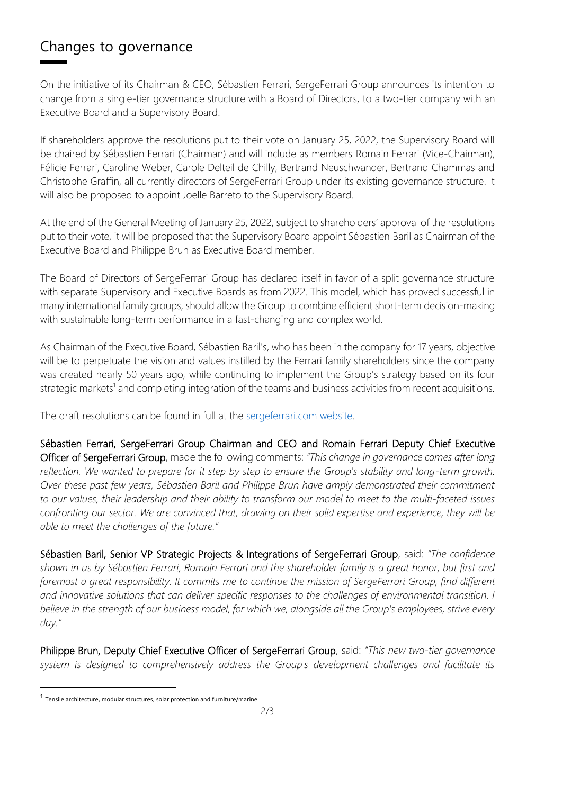## Changes to governance

On the initiative of its Chairman & CEO, Sébastien Ferrari, SergeFerrari Group announces its intention to change from a single-tier governance structure with a Board of Directors, to a two-tier company with an Executive Board and a Supervisory Board.

If shareholders approve the resolutions put to their vote on January 25, 2022, the Supervisory Board will be chaired by Sébastien Ferrari (Chairman) and will include as members Romain Ferrari (Vice-Chairman), Félicie Ferrari, Caroline Weber, Carole Delteil de Chilly, Bertrand Neuschwander, Bertrand Chammas and Christophe Graffin, all currently directors of SergeFerrari Group under its existing governance structure. It will also be proposed to appoint Joelle Barreto to the Supervisory Board.

At the end of the General Meeting of January 25, 2022, subject to shareholders' approval of the resolutions put to their vote, it will be proposed that the Supervisory Board appoint Sébastien Baril as Chairman of the Executive Board and Philippe Brun as Executive Board member.

The Board of Directors of SergeFerrari Group has declared itself in favor of a split governance structure with separate Supervisory and Executive Boards as from 2022. This model, which has proved successful in many international family groups, should allow the Group to combine efficient short-term decision-making with sustainable long-term performance in a fast-changing and complex world.

As Chairman of the Executive Board, Sébastien Baril's, who has been in the company for 17 years, objective will be to perpetuate the vision and values instilled by the Ferrari family shareholders since the company was created nearly 50 years ago, while continuing to implement the Group's strategy based on its four strategic markets<sup>1</sup> and completing integration of the teams and business activities from recent acquisitions.

The draft resolutions can be found in full at the [sergeferrari.com website.](https://www.sergeferraribourse.com/informations-financieres/assemblees-generales.html)

Sébastien Ferrari, SergeFerrari Group Chairman and CEO and Romain Ferrari Deputy Chief Executive Officer of SergeFerrari Group, made the following comments: *"This change in governance comes after long reflection. We wanted to prepare for it step by step to ensure the Group's stability and long-term growth. Over these past few years, Sébastien Baril and Philippe Brun have amply demonstrated their commitment to our values, their leadership and their ability to transform our model to meet to the multi-faceted issues confronting our sector. We are convinced that, drawing on their solid expertise and experience, they will be able to meet the challenges of the future."* 

Sébastien Baril, Senior VP Strategic Projects & Integrations of SergeFerrari Group, said: *"The confidence shown in us by Sébastien Ferrari, Romain Ferrari and the shareholder family is a great honor, but first and foremost a great responsibility. It commits me to continue the mission of SergeFerrari Group, find different and innovative solutions that can deliver specific responses to the challenges of environmental transition. I believe in the strength of our business model, for which we, alongside all the Group's employees, strive every day."*

Philippe Brun, Deputy Chief Executive Officer of SergeFerrari Group, said: *"This new two-tier governance system is designed to comprehensively address the Group's development challenges and facilitate its* 

 $^1$  Tensile architecture, modular structures, solar protection and furniture/marine